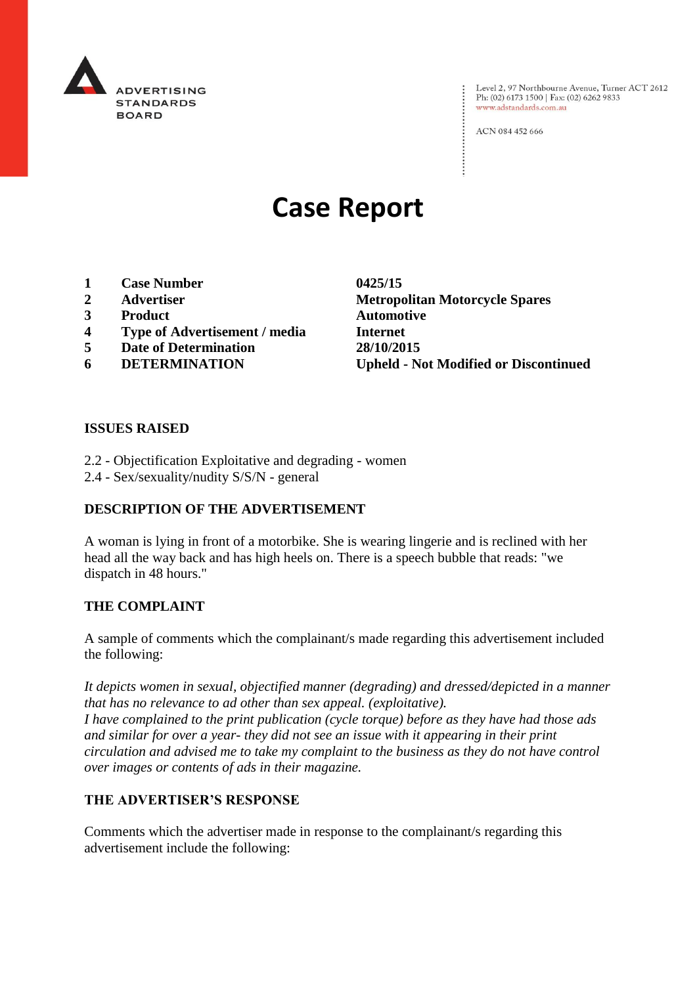

Level 2, 97 Northbourne Avenue, Turner ACT 2612 Ph: (02) 6173 1500 | Fax: (02) 6262 9833 www.adstandards.com.au

ACN 084 452 666

# **Case Report**

- **1 Case Number 0425/15**
- 
- **3 Product Automotive**
- **4 Type of Advertisement / media Internet**
- **5 Date of Determination 28/10/2015**
- 

**2 Advertiser Metropolitan Motorcycle Spares 6 DETERMINATION Upheld - Not Modified or Discontinued**

 $\vdots$ 

#### **ISSUES RAISED**

- 2.2 Objectification Exploitative and degrading women
- 2.4 Sex/sexuality/nudity S/S/N general

### **DESCRIPTION OF THE ADVERTISEMENT**

A woman is lying in front of a motorbike. She is wearing lingerie and is reclined with her head all the way back and has high heels on. There is a speech bubble that reads: "we dispatch in 48 hours."

#### **THE COMPLAINT**

A sample of comments which the complainant/s made regarding this advertisement included the following:

*It depicts women in sexual, objectified manner (degrading) and dressed/depicted in a manner that has no relevance to ad other than sex appeal. (exploitative). I have complained to the print publication (cycle torque) before as they have had those ads and similar for over a year- they did not see an issue with it appearing in their print circulation and advised me to take my complaint to the business as they do not have control over images or contents of ads in their magazine.*

#### **THE ADVERTISER'S RESPONSE**

Comments which the advertiser made in response to the complainant/s regarding this advertisement include the following: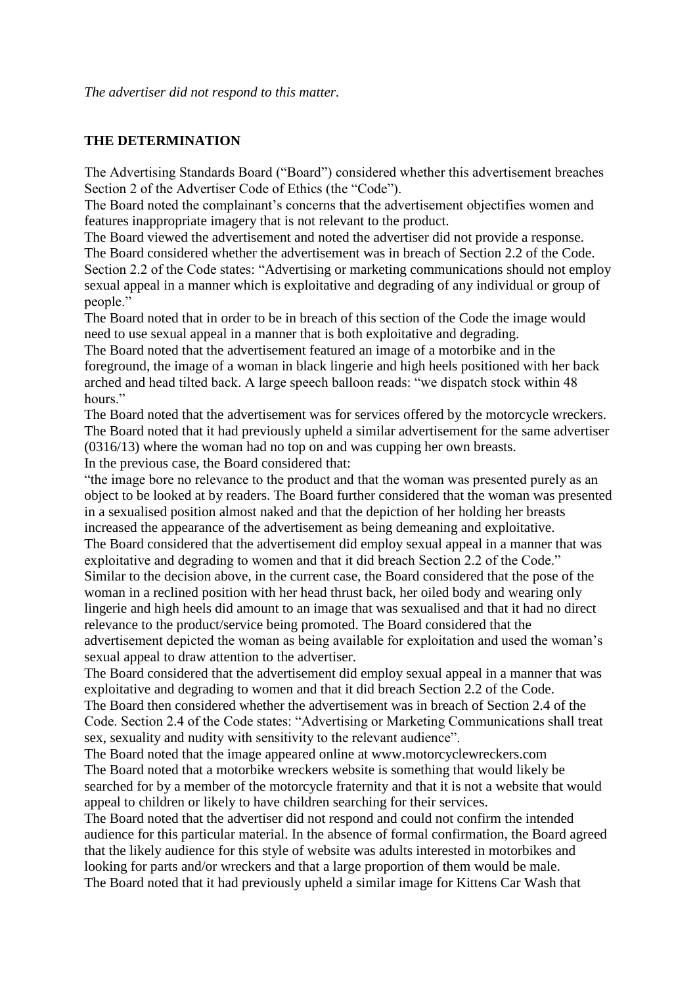#### **THE DETERMINATION**

The Advertising Standards Board ("Board") considered whether this advertisement breaches Section 2 of the Advertiser Code of Ethics (the "Code").

The Board noted the complainant's concerns that the advertisement objectifies women and features inappropriate imagery that is not relevant to the product.

The Board viewed the advertisement and noted the advertiser did not provide a response. The Board considered whether the advertisement was in breach of Section 2.2 of the Code. Section 2.2 of the Code states: "Advertising or marketing communications should not employ sexual appeal in a manner which is exploitative and degrading of any individual or group of people."

The Board noted that in order to be in breach of this section of the Code the image would need to use sexual appeal in a manner that is both exploitative and degrading.

The Board noted that the advertisement featured an image of a motorbike and in the foreground, the image of a woman in black lingerie and high heels positioned with her back arched and head tilted back. A large speech balloon reads: "we dispatch stock within 48 hours."

The Board noted that the advertisement was for services offered by the motorcycle wreckers. The Board noted that it had previously upheld a similar advertisement for the same advertiser (0316/13) where the woman had no top on and was cupping her own breasts. In the previous case, the Board considered that:

"the image bore no relevance to the product and that the woman was presented purely as an object to be looked at by readers. The Board further considered that the woman was presented in a sexualised position almost naked and that the depiction of her holding her breasts increased the appearance of the advertisement as being demeaning and exploitative. The Board considered that the advertisement did employ sexual appeal in a manner that was exploitative and degrading to women and that it did breach Section 2.2 of the Code." Similar to the decision above, in the current case, the Board considered that the pose of the woman in a reclined position with her head thrust back, her oiled body and wearing only lingerie and high heels did amount to an image that was sexualised and that it had no direct relevance to the product/service being promoted. The Board considered that the advertisement depicted the woman as being available for exploitation and used the woman's sexual appeal to draw attention to the advertiser.

The Board considered that the advertisement did employ sexual appeal in a manner that was exploitative and degrading to women and that it did breach Section 2.2 of the Code.

The Board then considered whether the advertisement was in breach of Section 2.4 of the Code. Section 2.4 of the Code states: "Advertising or Marketing Communications shall treat sex, sexuality and nudity with sensitivity to the relevant audience".

The Board noted that the image appeared online at www.motorcyclewreckers.com The Board noted that a motorbike wreckers website is something that would likely be searched for by a member of the motorcycle fraternity and that it is not a website that would appeal to children or likely to have children searching for their services.

The Board noted that the advertiser did not respond and could not confirm the intended audience for this particular material. In the absence of formal confirmation, the Board agreed that the likely audience for this style of website was adults interested in motorbikes and looking for parts and/or wreckers and that a large proportion of them would be male. The Board noted that it had previously upheld a similar image for Kittens Car Wash that